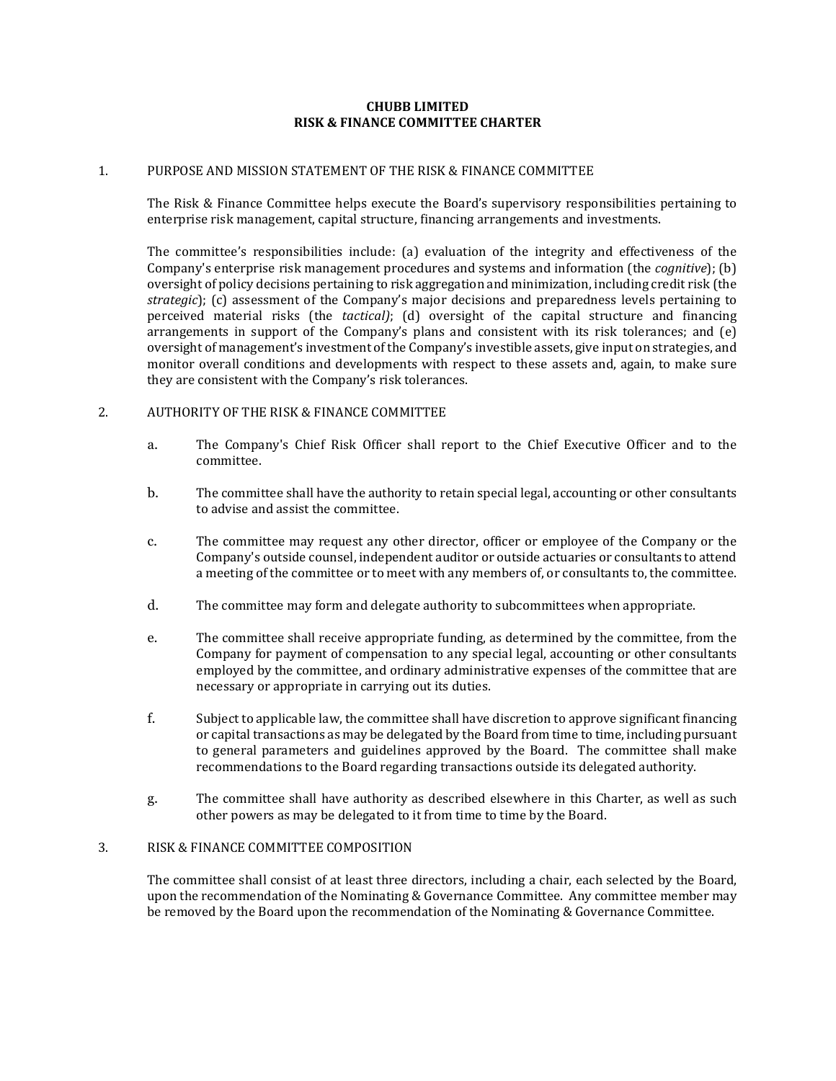#### **CHUBB LIMITED RISK & FINANCE COMMITTEE CHARTER**

#### 1. PURPOSE AND MISSION STATEMENT OF THE RISK & FINANCE COMMITTEE

The Risk & Finance Committee helps execute the Board's supervisory responsibilities pertaining to enterprise risk management, capital structure, financing arrangements and investments.

The committee's responsibilities include: (a) evaluation of the integrity and effectiveness of the Company's enterprise risk management procedures and systems and information (the *cognitive*); (b) oversight of policy decisions pertaining to risk aggregation and minimization, including credit risk (the *strategic*); (c) assessment of the Company's major decisions and preparedness levels pertaining to perceived material risks (the *tactical)*; (d) oversight of the capital structure and financing arrangements in support of the Company's plans and consistent with its risk tolerances; and (e) oversight of management's investment of the Company's investible assets, give input on strategies, and monitor overall conditions and developments with respect to these assets and, again, to make sure they are consistent with the Company's risk tolerances.

# 2. AUTHORITY OF THE RISK & FINANCE COMMITTEE

- a. The Company's Chief Risk Officer shall report to the Chief Executive Officer and to the committee.
- b. The committee shall have the authority to retain special legal, accounting or other consultants to advise and assist the committee.
- c. The committee may request any other director, officer or employee of the Company or the Company's outside counsel, independent auditor or outside actuaries or consultants to attend a meeting of the committee or to meet with any members of, or consultants to, the committee.
- d. The committee may form and delegate authority to subcommittees when appropriate.
- e. The committee shall receive appropriate funding, as determined by the committee, from the Company for payment of compensation to any special legal, accounting or other consultants employed by the committee, and ordinary administrative expenses of the committee that are necessary or appropriate in carrying out its duties.
- f. Subject to applicable law, the committee shall have discretion to approve significant financing or capital transactions as may be delegated by the Board from time to time, including pursuant to general parameters and guidelines approved by the Board. The committee shall make recommendations to the Board regarding transactions outside its delegated authority.
- g. The committee shall have authority as described elsewhere in this Charter, as well as such other powers as may be delegated to it from time to time by the Board.

# 3. RISK & FINANCE COMMITTEE COMPOSITION

The committee shall consist of at least three directors, including a chair, each selected by the Board, upon the recommendation of the Nominating & Governance Committee. Any committee member may be removed by the Board upon the recommendation of the Nominating & Governance Committee.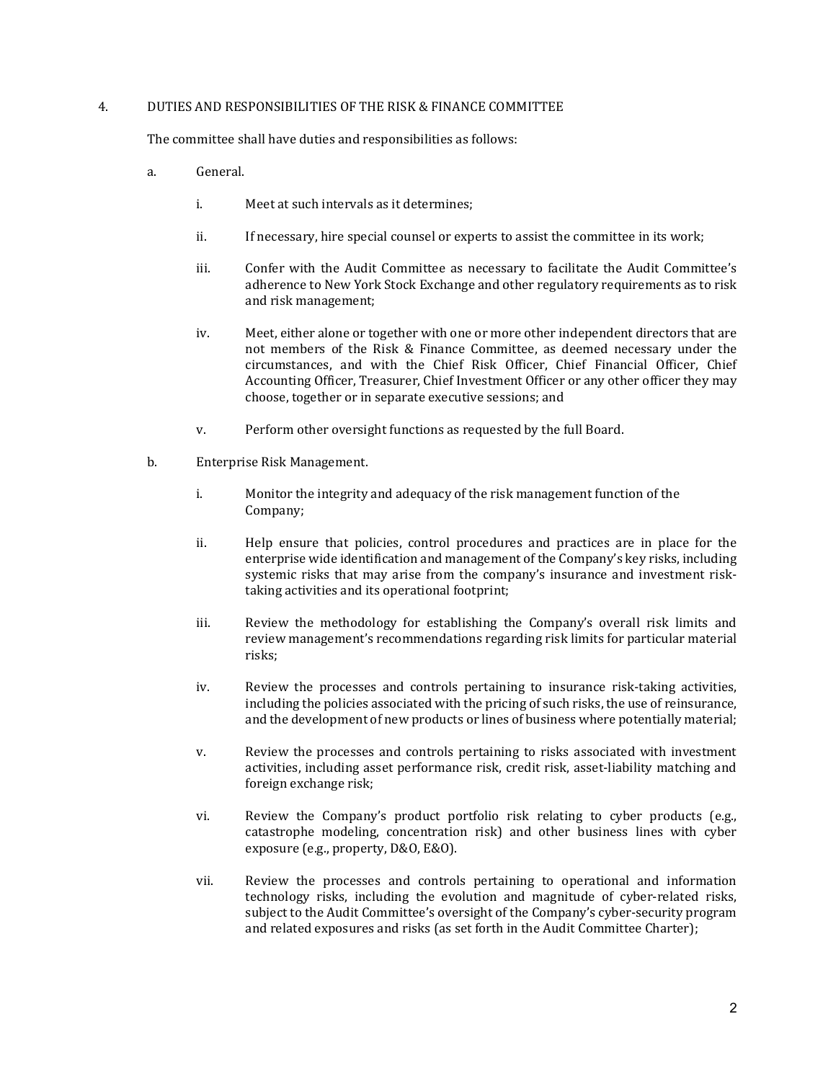# 4. DUTIES AND RESPONSIBILITIES OF THE RISK & FINANCE COMMITTEE

The committee shall have duties and responsibilities as follows:

- a. General.
	- i. Meet at such intervals as it determines;
	- ii. If necessary, hire special counsel or experts to assist the committee in its work;
	- iii. Confer with the Audit Committee as necessary to facilitate the Audit Committee's adherence to New York Stock Exchange and other regulatory requirements as to risk and risk management;
	- iv. Meet, either alone or together with one or more other independent directors that are not members of the Risk & Finance Committee, as deemed necessary under the circumstances, and with the Chief Risk Officer, Chief Financial Officer, Chief Accounting Officer, Treasurer, Chief Investment Officer or any other officer they may choose, together or in separate executive sessions; and
	- v. Perform other oversight functions as requested by the full Board.
- b. Enterprise Risk Management.
	- i. Monitor the integrity and adequacy of the risk management function of the Company;
	- ii. Help ensure that policies, control procedures and practices are in place for the enterprise wide identification and management of the Company's key risks, including systemic risks that may arise from the company's insurance and investment risktaking activities and its operational footprint;
	- iii. Review the methodology for establishing the Company's overall risk limits and review management's recommendations regarding risk limits for particular material risks;
	- iv. Review the processes and controls pertaining to insurance risk-taking activities, including the policies associated with the pricing of such risks, the use of reinsurance, and the development of new products or lines of business where potentially material;
	- v. Review the processes and controls pertaining to risks associated with investment activities, including asset performance risk, credit risk, asset-liability matching and foreign exchange risk;
	- vi. Review the Company's product portfolio risk relating to cyber products (e.g., catastrophe modeling, concentration risk) and other business lines with cyber exposure (e.g., property, D&O, E&O).
	- vii. Review the processes and controls pertaining to operational and information technology risks, including the evolution and magnitude of cyber-related risks, subject to the Audit Committee's oversight of the Company's cyber-security program and related exposures and risks (as set forth in the Audit Committee Charter);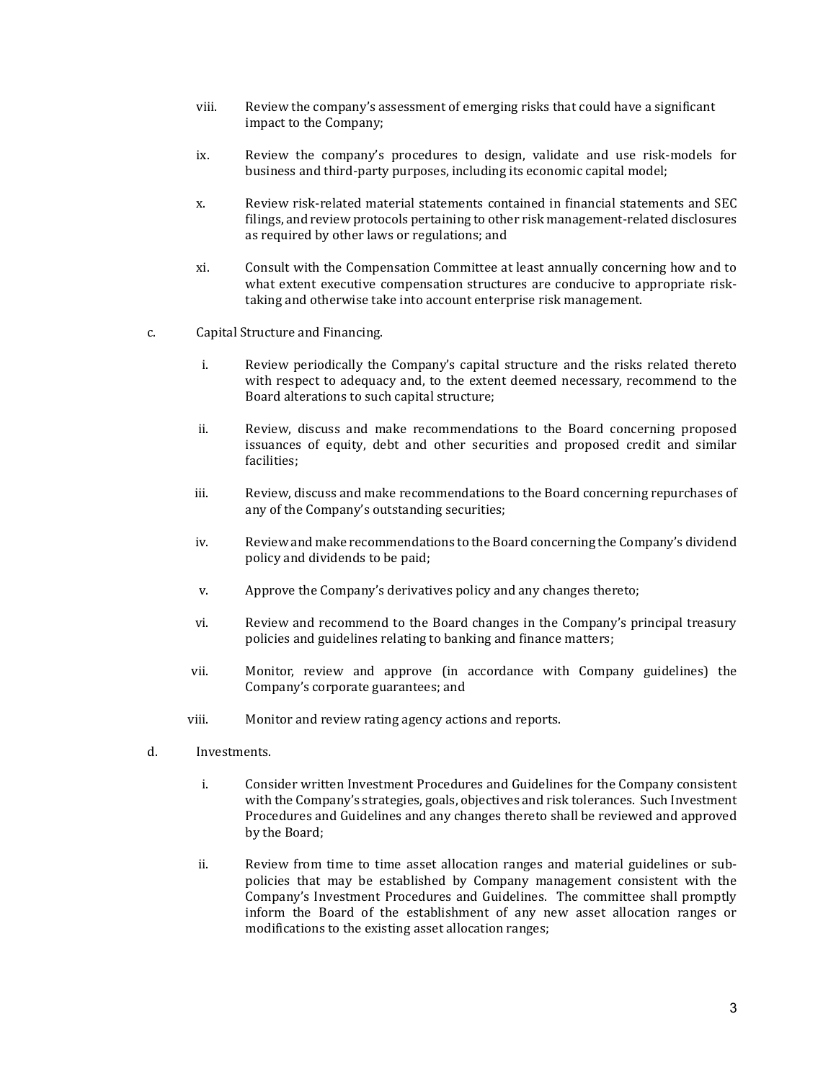- viii. Review the company's assessment of emerging risks that could have a significant impact to the Company;
- ix. Review the company's procedures to design, validate and use risk-models for business and third-party purposes, including its economic capital model;
- x. Review risk-related material statements contained in financial statements and SEC filings, and review protocols pertaining to other risk management-related disclosures as required by other laws or regulations; and
- xi. Consult with the Compensation Committee at least annually concerning how and to what extent executive compensation structures are conducive to appropriate risktaking and otherwise take into account enterprise risk management.
- c. Capital Structure and Financing.
	- i. Review periodically the Company's capital structure and the risks related thereto with respect to adequacy and, to the extent deemed necessary, recommend to the Board alterations to such capital structure;
	- ii. Review, discuss and make recommendations to the Board concerning proposed issuances of equity, debt and other securities and proposed credit and similar facilities;
	- iii. Review, discuss and make recommendations to the Board concerning repurchases of any of the Company's outstanding securities;
	- iv. Review and make recommendations to the Board concerning the Company's dividend policy and dividends to be paid;
	- v. Approve the Company's derivatives policy and any changes thereto;
	- vi. Review and recommend to the Board changes in the Company's principal treasury policies and guidelines relating to banking and finance matters;
	- vii. Monitor, review and approve (in accordance with Company guidelines) the Company's corporate guarantees; and
	- viii. Monitor and review rating agency actions and reports.
- d. Investments.
	- i. Consider written Investment Procedures and Guidelines for the Company consistent with the Company's strategies, goals, objectives and risk tolerances. Such Investment Procedures and Guidelines and any changes thereto shall be reviewed and approved by the Board;
	- ii. Review from time to time asset allocation ranges and material guidelines or subpolicies that may be established by Company management consistent with the Company's Investment Procedures and Guidelines. The committee shall promptly inform the Board of the establishment of any new asset allocation ranges or modifications to the existing asset allocation ranges;